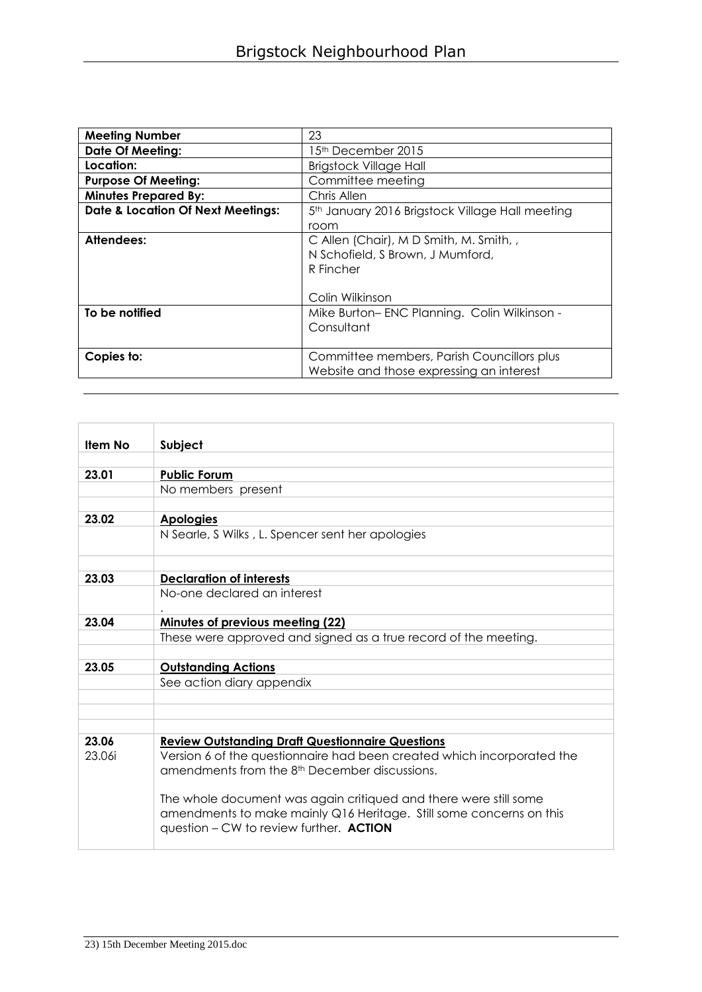| <b>Meeting Number</b>                        | 23                                                                                                          |
|----------------------------------------------|-------------------------------------------------------------------------------------------------------------|
| <b>Date Of Meeting:</b>                      | 15th December 2015                                                                                          |
| Location:                                    | <b>Brigstock Village Hall</b>                                                                               |
| <b>Purpose Of Meeting:</b>                   | Committee meeting                                                                                           |
| <b>Minutes Prepared By:</b>                  | Chris Allen                                                                                                 |
| <b>Date &amp; Location Of Next Meetings:</b> | 5 <sup>th</sup> January 2016 Brigstock Village Hall meeting                                                 |
|                                              | room                                                                                                        |
| Attendees:                                   | C Allen (Chair), M D Smith, M. Smith, ,<br>N Schofield, S Brown, J Mumford,<br>R Fincher<br>Colin Wilkinson |
| To be notified                               | Mike Burton-ENC Planning. Colin Wilkinson -<br>Consultant                                                   |
| Copies to:                                   | Committee members, Parish Councillors plus<br>Website and those expressing an interest                      |

| <b>Item No</b> | Subject                                                                                                                                                                            |
|----------------|------------------------------------------------------------------------------------------------------------------------------------------------------------------------------------|
|                |                                                                                                                                                                                    |
| 23.01          | <b>Public Forum</b>                                                                                                                                                                |
|                | No members present                                                                                                                                                                 |
|                |                                                                                                                                                                                    |
| 23.02          | <b>Apologies</b>                                                                                                                                                                   |
|                | N Searle, S Wilks, L. Spencer sent her apologies                                                                                                                                   |
|                |                                                                                                                                                                                    |
| 23.03          | <b>Declaration of interests</b>                                                                                                                                                    |
|                | No-one declared an interest                                                                                                                                                        |
| 23.04          | Minutes of previous meeting (22)                                                                                                                                                   |
|                | These were approved and signed as a true record of the meeting.                                                                                                                    |
|                |                                                                                                                                                                                    |
| 23.05          | <b>Outstanding Actions</b>                                                                                                                                                         |
|                | See action diary appendix                                                                                                                                                          |
|                |                                                                                                                                                                                    |
|                |                                                                                                                                                                                    |
|                |                                                                                                                                                                                    |
| 23.06          | <b>Review Outstanding Draft Questionnaire Questions</b>                                                                                                                            |
| 23.06i         | Version 6 of the questionnaire had been created which incorporated the<br>amendments from the 8 <sup>th</sup> December discussions.                                                |
|                | The whole document was again critiqued and there were still some<br>amendments to make mainly Q16 Heritage. Still some concerns on this<br>question - CW to review further. ACTION |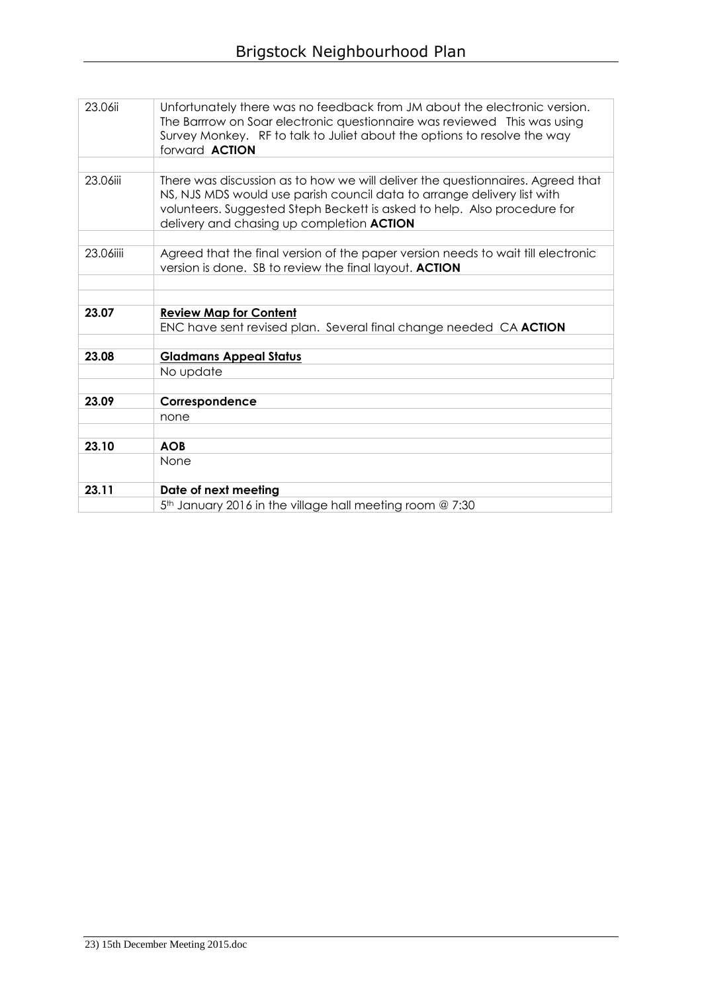| 23.06ii   | Unfortunately there was no feedback from JM about the electronic version.<br>The Barrrow on Soar electronic questionnaire was reviewed This was using<br>Survey Monkey. RF to talk to Juliet about the options to resolve the way<br>forward <b>ACTION</b>                         |
|-----------|------------------------------------------------------------------------------------------------------------------------------------------------------------------------------------------------------------------------------------------------------------------------------------|
|           |                                                                                                                                                                                                                                                                                    |
| 23.06iii  | There was discussion as to how we will deliver the questionnaires. Agreed that<br>NS, NJS MDS would use parish council data to arrange delivery list with<br>volunteers. Suggested Steph Beckett is asked to help. Also procedure for<br>delivery and chasing up completion ACTION |
|           |                                                                                                                                                                                                                                                                                    |
| 23.06iiii | Agreed that the final version of the paper version needs to wait till electronic<br>version is done. SB to review the final layout. ACTION                                                                                                                                         |
|           |                                                                                                                                                                                                                                                                                    |
|           |                                                                                                                                                                                                                                                                                    |
| 23.07     | <b>Review Map for Content</b>                                                                                                                                                                                                                                                      |
|           | ENC have sent revised plan. Several final change needed CA ACTION                                                                                                                                                                                                                  |
|           |                                                                                                                                                                                                                                                                                    |
| 23.08     | <b>Gladmans Appeal Status</b>                                                                                                                                                                                                                                                      |
|           | No update                                                                                                                                                                                                                                                                          |
|           |                                                                                                                                                                                                                                                                                    |
| 23.09     | Correspondence                                                                                                                                                                                                                                                                     |
|           | none                                                                                                                                                                                                                                                                               |
|           |                                                                                                                                                                                                                                                                                    |
| 23.10     | <b>AOB</b>                                                                                                                                                                                                                                                                         |
|           | None                                                                                                                                                                                                                                                                               |
| 23.11     | Date of next meeting                                                                                                                                                                                                                                                               |
|           | 5 <sup>th</sup> January 2016 in the village hall meeting room @ 7:30                                                                                                                                                                                                               |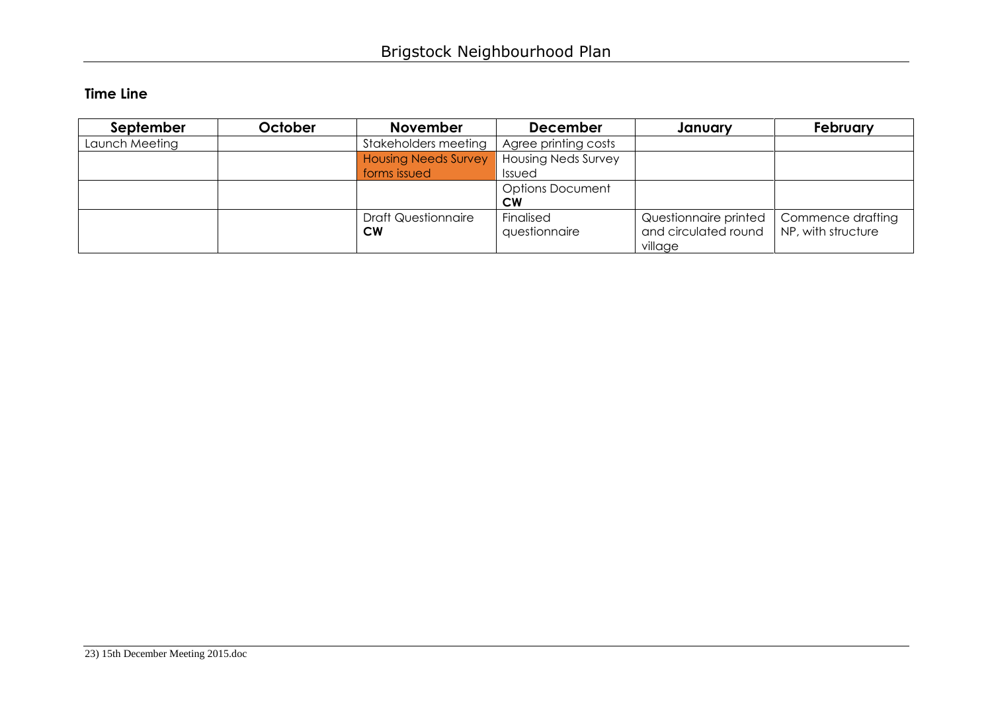## **Time Line**

| September      | October | <b>November</b>             | <b>December</b>            | January               | February           |
|----------------|---------|-----------------------------|----------------------------|-----------------------|--------------------|
| Launch Meeting |         | Stakeholders meeting        | Agree printing costs       |                       |                    |
|                |         | <b>Housing Needs Survey</b> | <b>Housing Neds Survey</b> |                       |                    |
|                |         | forms issued                | Issued                     |                       |                    |
|                |         |                             | <b>Options Document</b>    |                       |                    |
|                |         |                             | <b>CW</b>                  |                       |                    |
|                |         | <b>Draft Questionnaire</b>  | Finalised                  | Questionnaire printed | Commence drafting  |
|                |         | <b>CW</b>                   | questionnaire              | and circulated round  | NP, with structure |
|                |         |                             |                            | village               |                    |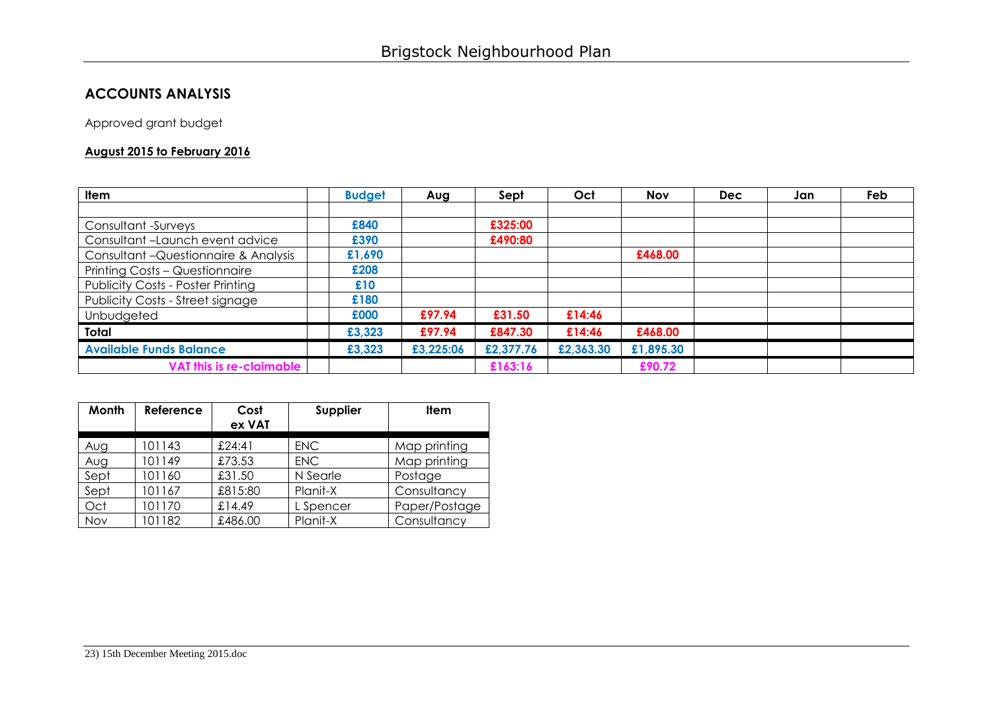## **ACCOUNTS ANALYSIS**

Approved grant budget

## **August 2015 to February 2016**

| <b>Item</b>                              | <b>Budget</b> | Aug       | Sept      | Oct       | <b>Nov</b> | <b>Dec</b> | Jan | Feb |
|------------------------------------------|---------------|-----------|-----------|-----------|------------|------------|-----|-----|
|                                          |               |           |           |           |            |            |     |     |
| Consultant -Surveys                      | £840          |           | £325:00   |           |            |            |     |     |
| Consultant-Launch event advice           | £390          |           | £490:80   |           |            |            |     |     |
| Consultant - Questionnaire & Analysis    | £1,690        |           |           |           | £468.00    |            |     |     |
| Printing Costs - Questionnaire           | £208          |           |           |           |            |            |     |     |
| <b>Publicity Costs - Poster Printing</b> | £10           |           |           |           |            |            |     |     |
| Publicity Costs - Street signage         | £180          |           |           |           |            |            |     |     |
| Unbudgeted                               | £000          | £97.94    | £31.50    | £14:46    |            |            |     |     |
| Total                                    | £3,323        | £97.94    | £847.30   | £14:46    | £468.00    |            |     |     |
| <b>Available Funds Balance</b>           | £3,323        | £3,225:06 | £2,377.76 | £2,363.30 | £1,895.30  |            |     |     |
| VAT this is re-claimable                 |               |           | £163:16   |           | £90.72     |            |     |     |

| Month | Reference | Cost<br>ex VAT | Supplier   | <b>Item</b>   |
|-------|-----------|----------------|------------|---------------|
| Aug   | 101143    | £24:41         | <b>ENC</b> | Map printing  |
| Aug   | 101149    | £73.53         | <b>ENC</b> | Map printing  |
| Sept  | 101160    | £31.50         | N Searle   | Postage       |
| Sept  | 101167    | £815:80        | Planit-X   | Consultancy   |
| Oct   | 101170    | £14.49         | L Spencer  | Paper/Postage |
| Nov   | 101182    | £486.00        | Planit-X   | Consultancy   |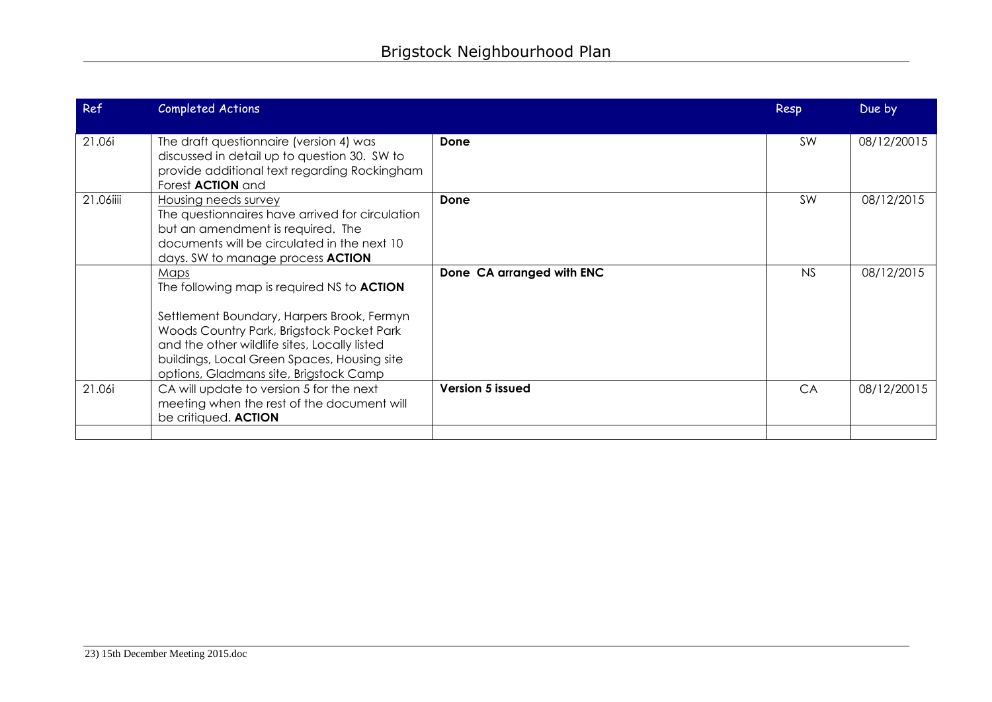| Ref       | <b>Completed Actions</b>                                                                                                                                                                                                                                                                      |                           | Resp      | Due by      |
|-----------|-----------------------------------------------------------------------------------------------------------------------------------------------------------------------------------------------------------------------------------------------------------------------------------------------|---------------------------|-----------|-------------|
| 21.06i    | The draft questionnaire (version 4) was<br>discussed in detail up to question 30. SW to<br>provide additional text regarding Rockingham<br>Forest <b>ACTION</b> and                                                                                                                           | Done                      | <b>SW</b> | 08/12/20015 |
| 21.06iiii | <b>Housing needs survey</b><br>The questionnaires have arrived for circulation<br>but an amendment is required. The<br>documents will be circulated in the next 10<br>days. SW to manage process <b>ACTION</b>                                                                                | Done                      | <b>SW</b> | 08/12/2015  |
|           | Maps<br>The following map is required NS to <b>ACTION</b><br>Settlement Boundary, Harpers Brook, Fermyn<br>Woods Country Park, Brigstock Pocket Park<br>and the other wildlife sites, Locally listed<br>buildings, Local Green Spaces, Housing site<br>options, Gladmans site, Brigstock Camp | Done CA arranged with ENC | NS        | 08/12/2015  |
| 21.06i    | CA will update to version 5 for the next<br>meeting when the rest of the document will<br>be critiqued. ACTION                                                                                                                                                                                | Version 5 issued          | CA        | 08/12/20015 |
|           |                                                                                                                                                                                                                                                                                               |                           |           |             |